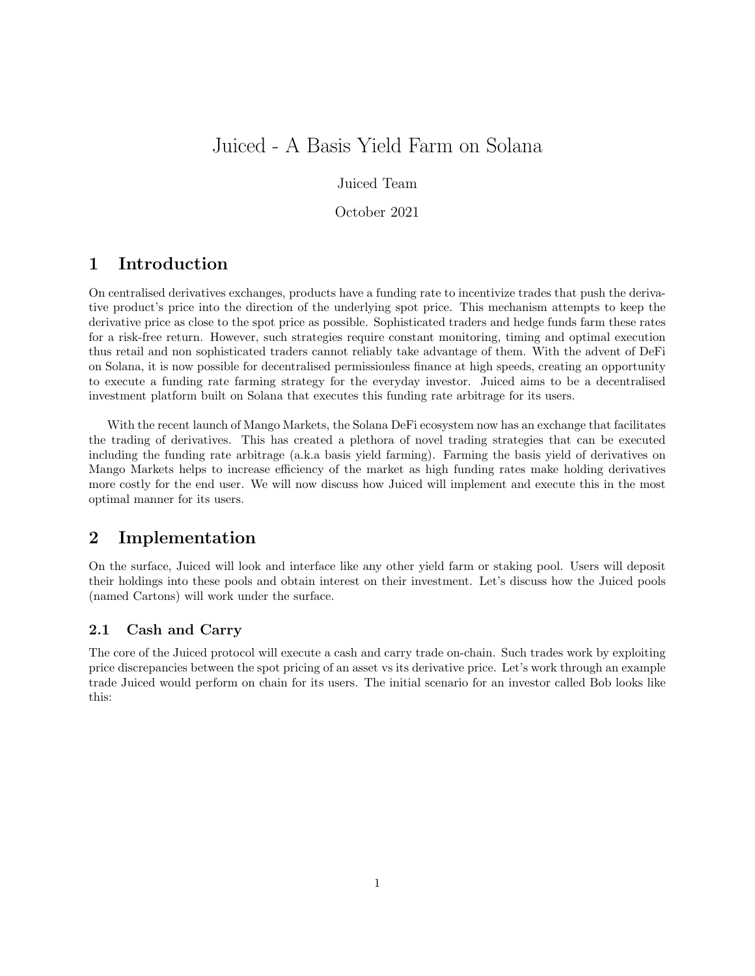# Juiced - A Basis Yield Farm on Solana

Juiced Team

October 2021

## 1 Introduction

On centralised derivatives exchanges, products have a funding rate to incentivize trades that push the derivative product's price into the direction of the underlying spot price. This mechanism attempts to keep the derivative price as close to the spot price as possible. Sophisticated traders and hedge funds farm these rates for a risk-free return. However, such strategies require constant monitoring, timing and optimal execution thus retail and non sophisticated traders cannot reliably take advantage of them. With the advent of DeFi on Solana, it is now possible for decentralised permissionless finance at high speeds, creating an opportunity to execute a funding rate farming strategy for the everyday investor. Juiced aims to be a decentralised investment platform built on Solana that executes this funding rate arbitrage for its users.

With the recent launch of Mango Markets, the Solana DeFi ecosystem now has an exchange that facilitates the trading of derivatives. This has created a plethora of novel trading strategies that can be executed including the funding rate arbitrage (a.k.a basis yield farming). Farming the basis yield of derivatives on Mango Markets helps to increase efficiency of the market as high funding rates make holding derivatives more costly for the end user. We will now discuss how Juiced will implement and execute this in the most optimal manner for its users.

### 2 Implementation

On the surface, Juiced will look and interface like any other yield farm or staking pool. Users will deposit their holdings into these pools and obtain interest on their investment. Let's discuss how the Juiced pools (named Cartons) will work under the surface.

#### 2.1 Cash and Carry

The core of the Juiced protocol will execute a cash and carry trade on-chain. Such trades work by exploiting price discrepancies between the spot pricing of an asset vs its derivative price. Let's work through an example trade Juiced would perform on chain for its users. The initial scenario for an investor called Bob looks like this: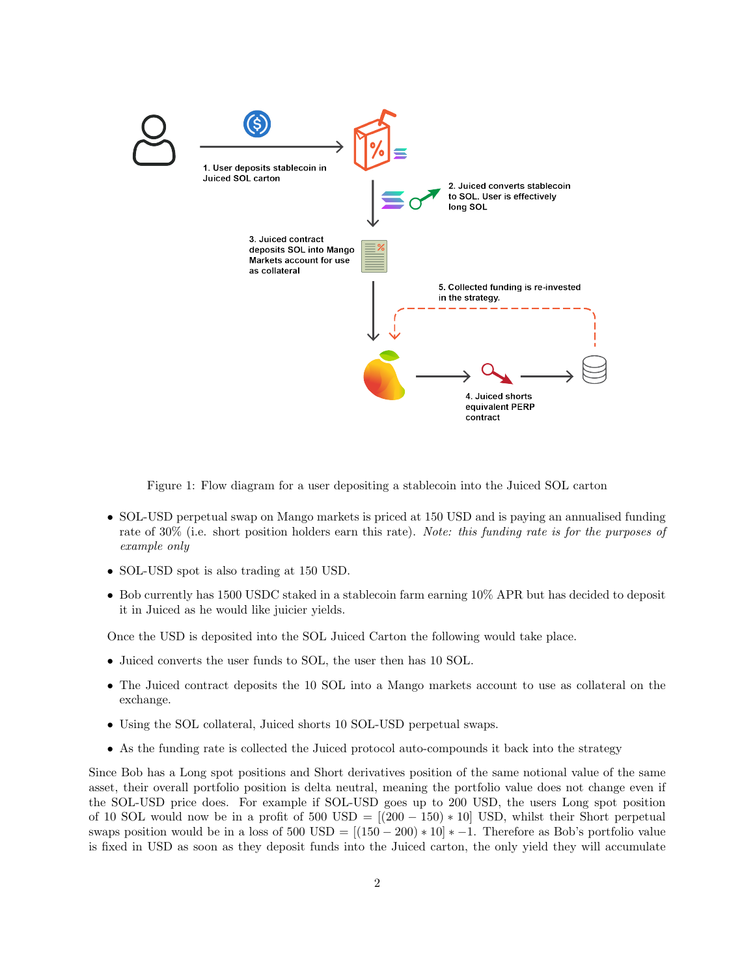

Figure 1: Flow diagram for a user depositing a stablecoin into the Juiced SOL carton

- SOL-USD perpetual swap on Mango markets is priced at 150 USD and is paying an annualised funding rate of 30% (i.e. short position holders earn this rate). Note: this funding rate is for the purposes of example only
- SOL-USD spot is also trading at 150 USD.
- Bob currently has 1500 USDC staked in a stablecoin farm earning 10% APR but has decided to deposit it in Juiced as he would like juicier yields.

Once the USD is deposited into the SOL Juiced Carton the following would take place.

- Juiced converts the user funds to SOL, the user then has 10 SOL.
- The Juiced contract deposits the 10 SOL into a Mango markets account to use as collateral on the exchange.
- Using the SOL collateral, Juiced shorts 10 SOL-USD perpetual swaps.
- As the funding rate is collected the Juiced protocol auto-compounds it back into the strategy

Since Bob has a Long spot positions and Short derivatives position of the same notional value of the same asset, their overall portfolio position is delta neutral, meaning the portfolio value does not change even if the SOL-USD price does. For example if SOL-USD goes up to 200 USD, the users Long spot position of 10 SOL would now be in a profit of  $500 \text{ USD} = [(200 - 150) * 10] \text{ USD}$ , whilst their Short perpetual swaps position would be in a loss of  $500 \text{ USD} = [(150 - 200) * 10] * -1$ . Therefore as Bob's portfolio value is fixed in USD as soon as they deposit funds into the Juiced carton, the only yield they will accumulate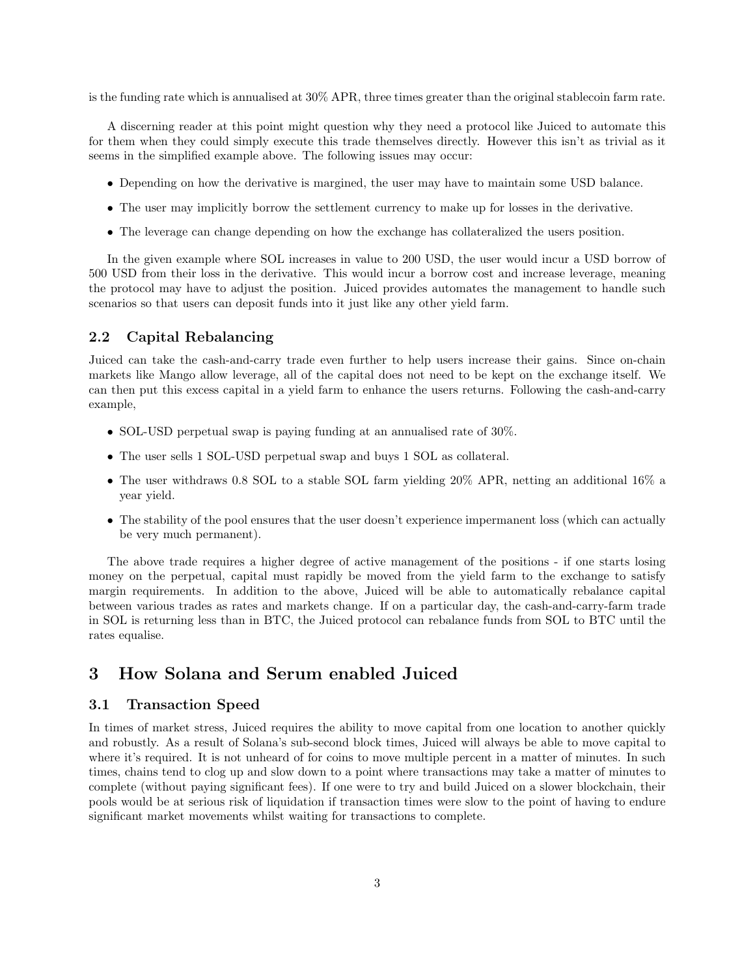is the funding rate which is annualised at 30% APR, three times greater than the original stablecoin farm rate.

A discerning reader at this point might question why they need a protocol like Juiced to automate this for them when they could simply execute this trade themselves directly. However this isn't as trivial as it seems in the simplified example above. The following issues may occur:

- Depending on how the derivative is margined, the user may have to maintain some USD balance.
- The user may implicitly borrow the settlement currency to make up for losses in the derivative.
- The leverage can change depending on how the exchange has collateralized the users position.

In the given example where SOL increases in value to 200 USD, the user would incur a USD borrow of 500 USD from their loss in the derivative. This would incur a borrow cost and increase leverage, meaning the protocol may have to adjust the position. Juiced provides automates the management to handle such scenarios so that users can deposit funds into it just like any other yield farm.

#### 2.2 Capital Rebalancing

Juiced can take the cash-and-carry trade even further to help users increase their gains. Since on-chain markets like Mango allow leverage, all of the capital does not need to be kept on the exchange itself. We can then put this excess capital in a yield farm to enhance the users returns. Following the cash-and-carry example,

- SOL-USD perpetual swap is paying funding at an annualised rate of 30%.
- The user sells 1 SOL-USD perpetual swap and buys 1 SOL as collateral.
- The user withdraws 0.8 SOL to a stable SOL farm yielding 20% APR, netting an additional 16% a year yield.
- The stability of the pool ensures that the user doesn't experience impermanent loss (which can actually be very much permanent).

The above trade requires a higher degree of active management of the positions - if one starts losing money on the perpetual, capital must rapidly be moved from the yield farm to the exchange to satisfy margin requirements. In addition to the above, Juiced will be able to automatically rebalance capital between various trades as rates and markets change. If on a particular day, the cash-and-carry-farm trade in SOL is returning less than in BTC, the Juiced protocol can rebalance funds from SOL to BTC until the rates equalise.

### 3 How Solana and Serum enabled Juiced

#### 3.1 Transaction Speed

In times of market stress, Juiced requires the ability to move capital from one location to another quickly and robustly. As a result of Solana's sub-second block times, Juiced will always be able to move capital to where it's required. It is not unheard of for coins to move multiple percent in a matter of minutes. In such times, chains tend to clog up and slow down to a point where transactions may take a matter of minutes to complete (without paying significant fees). If one were to try and build Juiced on a slower blockchain, their pools would be at serious risk of liquidation if transaction times were slow to the point of having to endure significant market movements whilst waiting for transactions to complete.